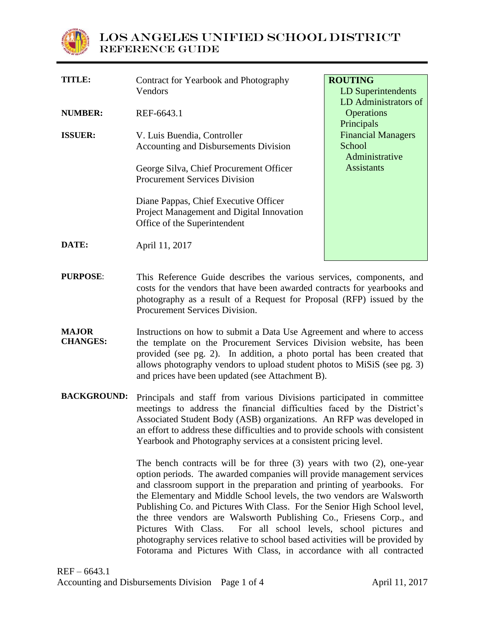

| TITLE:         | Contract for Yearbook and Photography     | <b>ROUTING</b>            |
|----------------|-------------------------------------------|---------------------------|
|                | Vendors                                   | <b>LD</b> Superintendents |
|                |                                           | LD Administrators of      |
| NUMBER:        | REF-6643.1                                | <b>Operations</b>         |
|                |                                           | Principals                |
| <b>ISSUER:</b> | V. Luis Buendia, Controller               | <b>Financial Managers</b> |
|                | Accounting and Disbursements Division     | School                    |
|                |                                           | Administrative            |
|                | George Silva, Chief Procurement Officer   | <b>Assistants</b>         |
|                | <b>Procurement Services Division</b>      |                           |
|                | Diane Pappas, Chief Executive Officer     |                           |
|                | Project Management and Digital Innovation |                           |
|                | Office of the Superintendent              |                           |
| DATE:          | April 11, 2017                            |                           |
|                |                                           |                           |

- **PURPOSE**: This Reference Guide describes the various services, components, and costs for the vendors that have been awarded contracts for yearbooks and photography as a result of a Request for Proposal (RFP) issued by the Procurement Services Division.
- **MAJOR CHANGES:** Instructions on how to submit a Data Use Agreement and where to access the template on the Procurement Services Division website, has been provided (see pg. 2). In addition, a photo portal has been created that allows photography vendors to upload student photos to MiSiS (see pg. 3) and prices have been updated (see Attachment B).
- **BACKGROUND:** Principals and staff from various Divisions participated in committee meetings to address the financial difficulties faced by the District's Associated Student Body (ASB) organizations. An RFP was developed in an effort to address these difficulties and to provide schools with consistent Yearbook and Photography services at a consistent pricing level.

The bench contracts will be for three (3) years with two (2), one-year option periods. The awarded companies will provide management services and classroom support in the preparation and printing of yearbooks. For the Elementary and Middle School levels, the two vendors are Walsworth Publishing Co. and Pictures With Class. For the Senior High School level, the three vendors are Walsworth Publishing Co., Friesens Corp., and Pictures With Class. For all school levels, school pictures and photography services relative to school based activities will be provided by Fotorama and Pictures With Class, in accordance with all contracted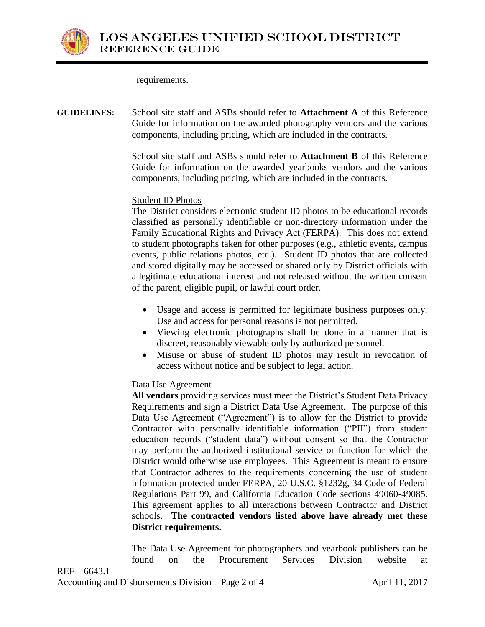

requirements.

**GUIDELINES:** School site staff and ASBs should refer to **Attachment A** of this Reference Guide for information on the awarded photography vendors and the various components, including pricing, which are included in the contracts.

> School site staff and ASBs should refer to **Attachment B** of this Reference Guide for information on the awarded yearbooks vendors and the various components, including pricing, which are included in the contracts.

# Student ID Photos

The District considers electronic student ID photos to be educational records classified as personally identifiable or non-directory information under the Family Educational Rights and Privacy Act (FERPA). This does not extend to student photographs taken for other purposes (e.g., athletic events, campus events, public relations photos, etc.). Student ID photos that are collected and stored digitally may be accessed or shared only by District officials with a legitimate educational interest and not released without the written consent of the parent, eligible pupil, or lawful court order.

- Usage and access is permitted for legitimate business purposes only. Use and access for personal reasons is not permitted.
- Viewing electronic photographs shall be done in a manner that is discreet, reasonably viewable only by authorized personnel.
- Misuse or abuse of student ID photos may result in revocation of access without notice and be subject to legal action.

# Data Use Agreement

**All vendors** providing services must meet the District's Student Data Privacy Requirements and sign a District Data Use Agreement. The purpose of this Data Use Agreement ("Agreement") is to allow for the District to provide Contractor with personally identifiable information ("PII") from student education records ("student data") without consent so that the Contractor may perform the authorized institutional service or function for which the District would otherwise use employees. This Agreement is meant to ensure that Contractor adheres to the requirements concerning the use of student information protected under FERPA, 20 U.S.C. §1232g, 34 Code of Federal Regulations Part 99, and California Education Code sections 49060-49085. This agreement applies to all interactions between Contractor and District schools. **The contracted vendors listed above have already met these District requirements.**

The Data Use Agreement for photographers and yearbook publishers can be found on the Procurement Services Division website at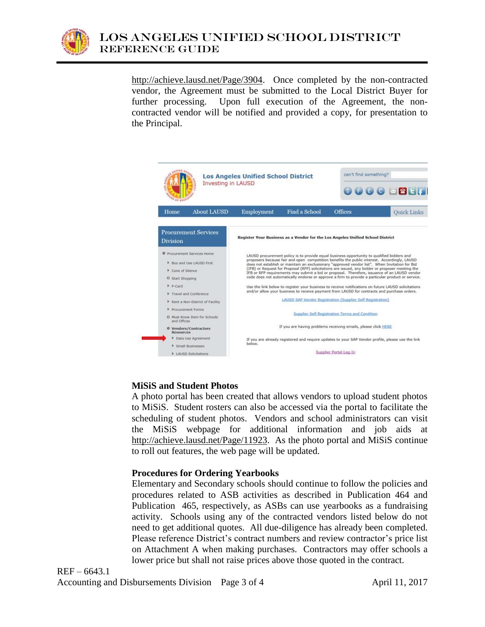

[http://achieve.lausd.net/Page/3904.](http://achieve.lausd.net/Page/3904) Once completed by the non-contracted vendor, the Agreement must be submitted to the Local District Buyer for further processing. Upon full execution of the Agreement, the noncontracted vendor will be notified and provided a copy, for presentation to the Principal.



### **MiSiS and Student Photos**

A photo portal has been created that allows vendors to upload student photos to MiSiS. Student rosters can also be accessed via the portal to facilitate the scheduling of student photos. Vendors and school administrators can visit the MiSiS webpage for additional information and job aids at [http://achieve.lausd.net/Page/11923.](http://achieve.lausd.net/Page/11923) As the photo portal and MiSiS continue to roll out features, the web page will be updated.

### **Procedures for Ordering Yearbooks**

Elementary and Secondary schools should continue to follow the policies and procedures related to ASB activities as described in Publication 464 and Publication 465, respectively, as ASBs can use yearbooks as a fundraising activity. Schools using any of the contracted vendors listed below do not need to get additional quotes. All due-diligence has already been completed. Please reference District's contract numbers and review contractor's price list on Attachment A when making purchases. Contractors may offer schools a lower price but shall not raise prices above those quoted in the contract.